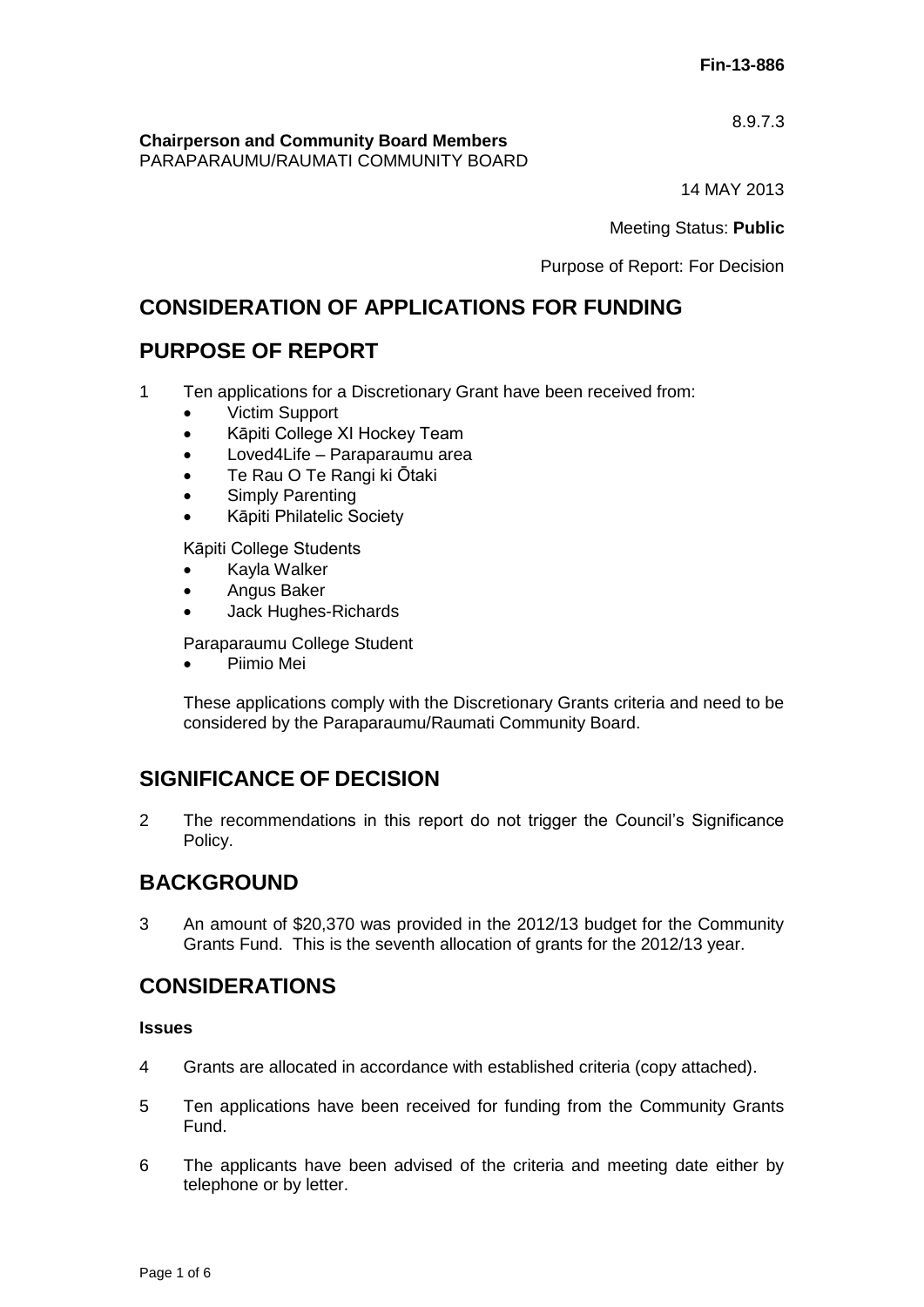8.9.7.3

**Chairperson and Community Board Members**

PARAPARAUMU/RAUMATI COMMUNITY BOARD

14 MAY 2013

Meeting Status: **Public**

Purpose of Report: For Decision

# **CONSIDERATION OF APPLICATIONS FOR FUNDING**

# **PURPOSE OF REPORT**

- 1 Ten applications for a Discretionary Grant have been received from:
	- Victim Support
	- Kāpiti College XI Hockey Team
	- Loved4Life Paraparaumu area
	- Te Rau O Te Rangi ki Ōtaki
	- Simply Parenting
	- Kāpiti Philatelic Society

Kāpiti College Students

- Kayla Walker
- **•** Angus Baker
- Jack Hughes-Richards

Paraparaumu College Student

Piimio Mei

These applications comply with the Discretionary Grants criteria and need to be considered by the Paraparaumu/Raumati Community Board.

# **SIGNIFICANCE OF DECISION**

2 The recommendations in this report do not trigger the Council's Significance Policy.

# **BACKGROUND**

3 An amount of \$20,370 was provided in the 2012/13 budget for the Community Grants Fund. This is the seventh allocation of grants for the 2012/13 year.

# **CONSIDERATIONS**

## **Issues**

- 4 Grants are allocated in accordance with established criteria (copy attached).
- 5 Ten applications have been received for funding from the Community Grants Fund.
- 6 The applicants have been advised of the criteria and meeting date either by telephone or by letter.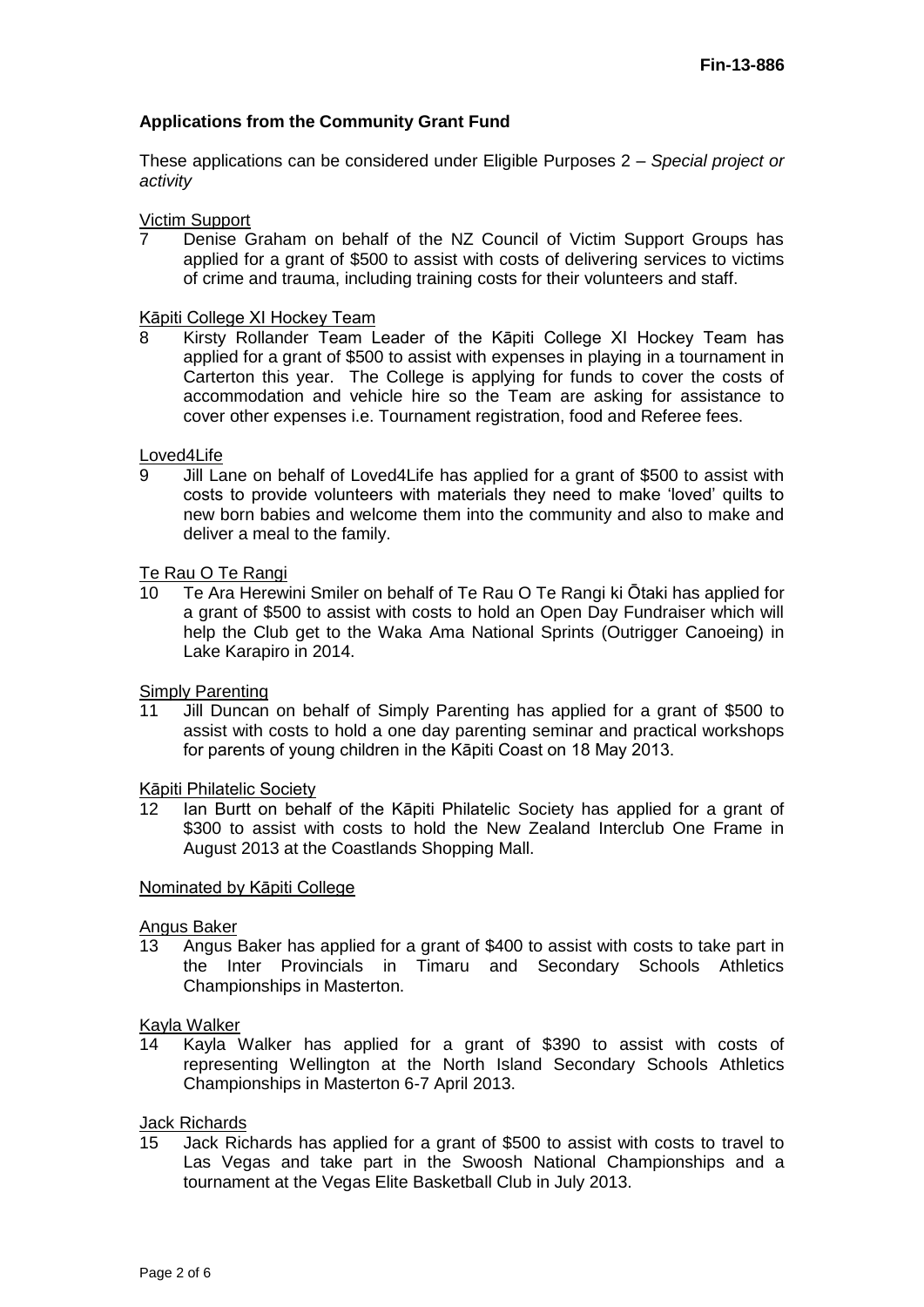## **Applications from the Community Grant Fund**

These applications can be considered under Eligible Purposes 2 *– Special project or activity*

#### Victim Support

7 Denise Graham on behalf of the NZ Council of Victim Support Groups has applied for a grant of \$500 to assist with costs of delivering services to victims of crime and trauma, including training costs for their volunteers and staff.

# Kāpiti College XI Hockey Team<br>8. Kirsty Rollander Team I

8 Kirsty Rollander Team Leader of the Kāpiti College XI Hockey Team has applied for a grant of \$500 to assist with expenses in playing in a tournament in Carterton this year. The College is applying for funds to cover the costs of accommodation and vehicle hire so the Team are asking for assistance to cover other expenses i.e. Tournament registration, food and Referee fees.

# Loved4Life<br>9 Iill La

9 Jill Lane on behalf of Loved4Life has applied for a grant of \$500 to assist with costs to provide volunteers with materials they need to make 'loved' quilts to new born babies and welcome them into the community and also to make and deliver a meal to the family.

## Te Rau O Te Rangi

10 Te Ara Herewini Smiler on behalf of Te Rau O Te Rangi ki Ōtaki has applied for a grant of \$500 to assist with costs to hold an Open Day Fundraiser which will help the Club get to the Waka Ama National Sprints (Outrigger Canoeing) in Lake Karapiro in 2014.

#### Simply Parenting

11 Jill Duncan on behalf of Simply Parenting has applied for a grant of \$500 to assist with costs to hold a one day parenting seminar and practical workshops for parents of young children in the Kāpiti Coast on 18 May 2013.

#### Kāpiti Philatelic Society

12 Ian Burtt on behalf of the Kāpiti Philatelic Society has applied for a grant of \$300 to assist with costs to hold the New Zealand Interclub One Frame in August 2013 at the Coastlands Shopping Mall.

#### Nominated by Kāpiti College

## Angus Baker

13 Angus Baker has applied for a grant of \$400 to assist with costs to take part in the Inter Provincials in Timaru and Secondary Schools Athletics Championships in Masterton.

#### Kayla Walker

14 Kayla Walker has applied for a grant of \$390 to assist with costs of representing Wellington at the North Island Secondary Schools Athletics Championships in Masterton 6-7 April 2013.

### **Jack Richards**

15 Jack Richards has applied for a grant of \$500 to assist with costs to travel to Las Vegas and take part in the Swoosh National Championships and a tournament at the Vegas Elite Basketball Club in July 2013.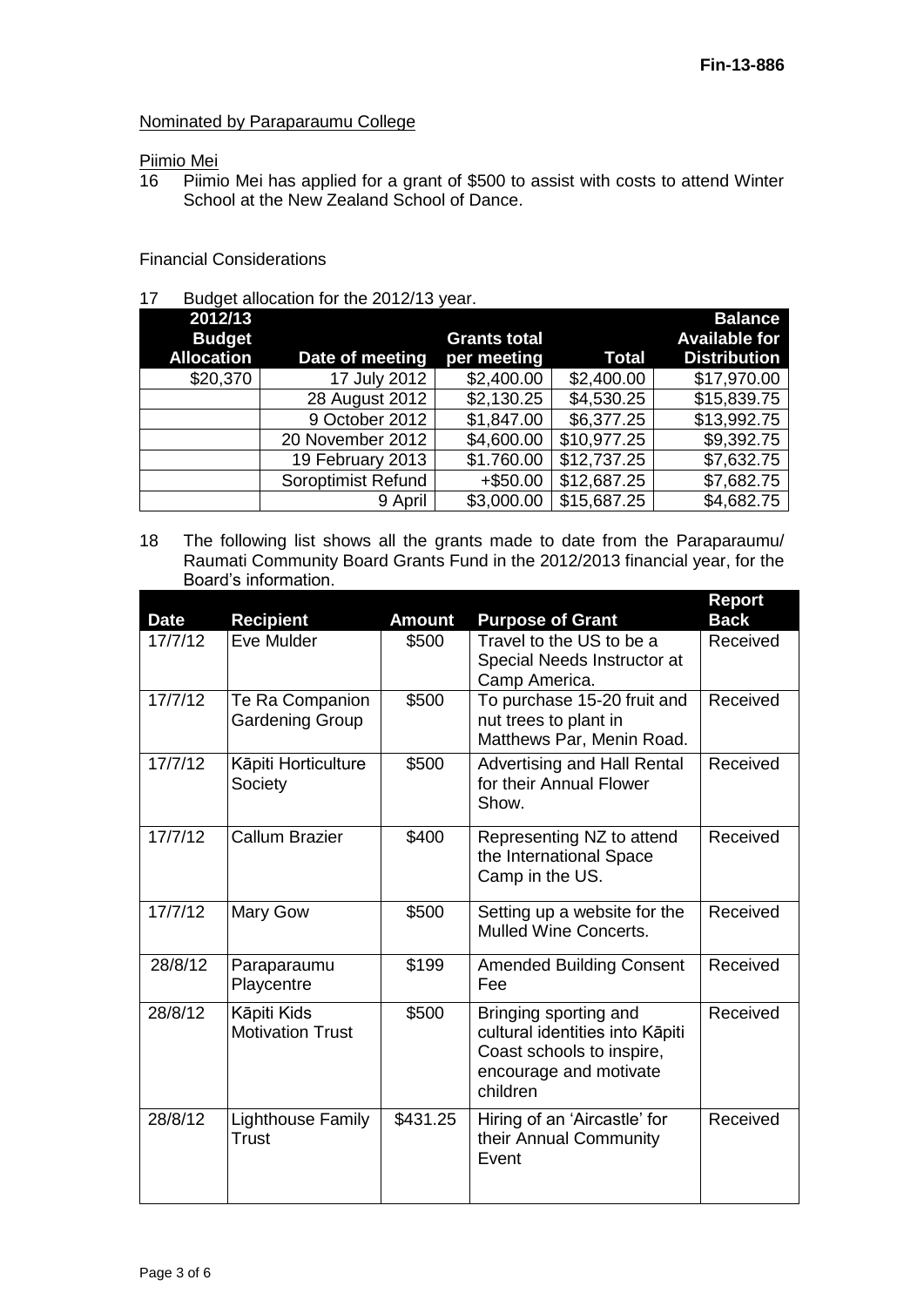### Nominated by Paraparaumu College

# Piimio Mei<br>16 Piimi

Piimio Mei has applied for a grant of \$500 to assist with costs to attend Winter School at the New Zealand School of Dance.

## Financial Considerations

17 Budget allocation for the 2012/13 year.

| 2012/13           |                    |                     |              | <b>Balance</b>       |
|-------------------|--------------------|---------------------|--------------|----------------------|
| <b>Budget</b>     |                    | <b>Grants total</b> |              | <b>Available for</b> |
| <b>Allocation</b> | Date of meeting    | per meeting         | <b>Total</b> | <b>Distribution</b>  |
| \$20,370          | 17 July 2012       | \$2,400.00          | \$2,400.00   | \$17,970.00          |
|                   | 28 August 2012     | \$2,130.25          | \$4,530.25   | \$15,839.75          |
|                   | 9 October 2012     | \$1,847.00          | \$6,377.25   | \$13,992.75          |
|                   | 20 November 2012   | \$4,600.00          | \$10,977.25  | \$9,392.75           |
|                   | 19 February 2013   | \$1.760.00          | \$12,737.25  | \$7,632.75           |
|                   | Soroptimist Refund | $+$ \$50.00         | \$12,687.25  | \$7,682.75           |
|                   | 9 April            | \$3,000.00          | \$15,687.25  | \$4,682.75           |

18 The following list shows all the grants made to date from the Paraparaumu/ Raumati Community Board Grants Fund in the 2012/2013 financial year, for the Board's information.

|             |                          |               |                                                              | Report      |
|-------------|--------------------------|---------------|--------------------------------------------------------------|-------------|
| <b>Date</b> | <b>Recipient</b>         | <b>Amount</b> | <b>Purpose of Grant</b>                                      | <b>Back</b> |
| 17/7/12     | Eve Mulder               | \$500         | Travel to the US to be a                                     | Received    |
|             |                          |               | Special Needs Instructor at                                  |             |
|             |                          |               | Camp America.                                                |             |
| 17/7/12     | Te Ra Companion          | \$500         | To purchase 15-20 fruit and                                  | Received    |
|             | <b>Gardening Group</b>   |               | nut trees to plant in                                        |             |
|             |                          |               | Matthews Par, Menin Road.                                    |             |
| 17/7/12     | Kāpiti Horticulture      | \$500         | <b>Advertising and Hall Rental</b>                           | Received    |
|             | Society                  |               | for their Annual Flower                                      |             |
|             |                          |               | Show.                                                        |             |
| 17/7/12     | <b>Callum Brazier</b>    | \$400         | Representing NZ to attend                                    | Received    |
|             |                          |               | the International Space                                      |             |
|             |                          |               | Camp in the US.                                              |             |
|             |                          |               |                                                              |             |
| 17/7/12     | Mary Gow                 | \$500         | Setting up a website for the<br><b>Mulled Wine Concerts.</b> | Received    |
|             |                          |               |                                                              |             |
| 28/8/12     | Paraparaumu              | \$199         | <b>Amended Building Consent</b>                              | Received    |
|             | Playcentre               |               | Fee                                                          |             |
| 28/8/12     | Kāpiti Kids              | \$500         | Bringing sporting and                                        | Received    |
|             | <b>Motivation Trust</b>  |               | cultural identities into Kāpiti                              |             |
|             |                          |               | Coast schools to inspire,                                    |             |
|             |                          |               | encourage and motivate                                       |             |
|             |                          |               | children                                                     |             |
| 28/8/12     | <b>Lighthouse Family</b> | \$431.25      | Hiring of an 'Aircastle' for                                 | Received    |
|             | Trust                    |               | their Annual Community                                       |             |
|             |                          |               | Event                                                        |             |
|             |                          |               |                                                              |             |
|             |                          |               |                                                              |             |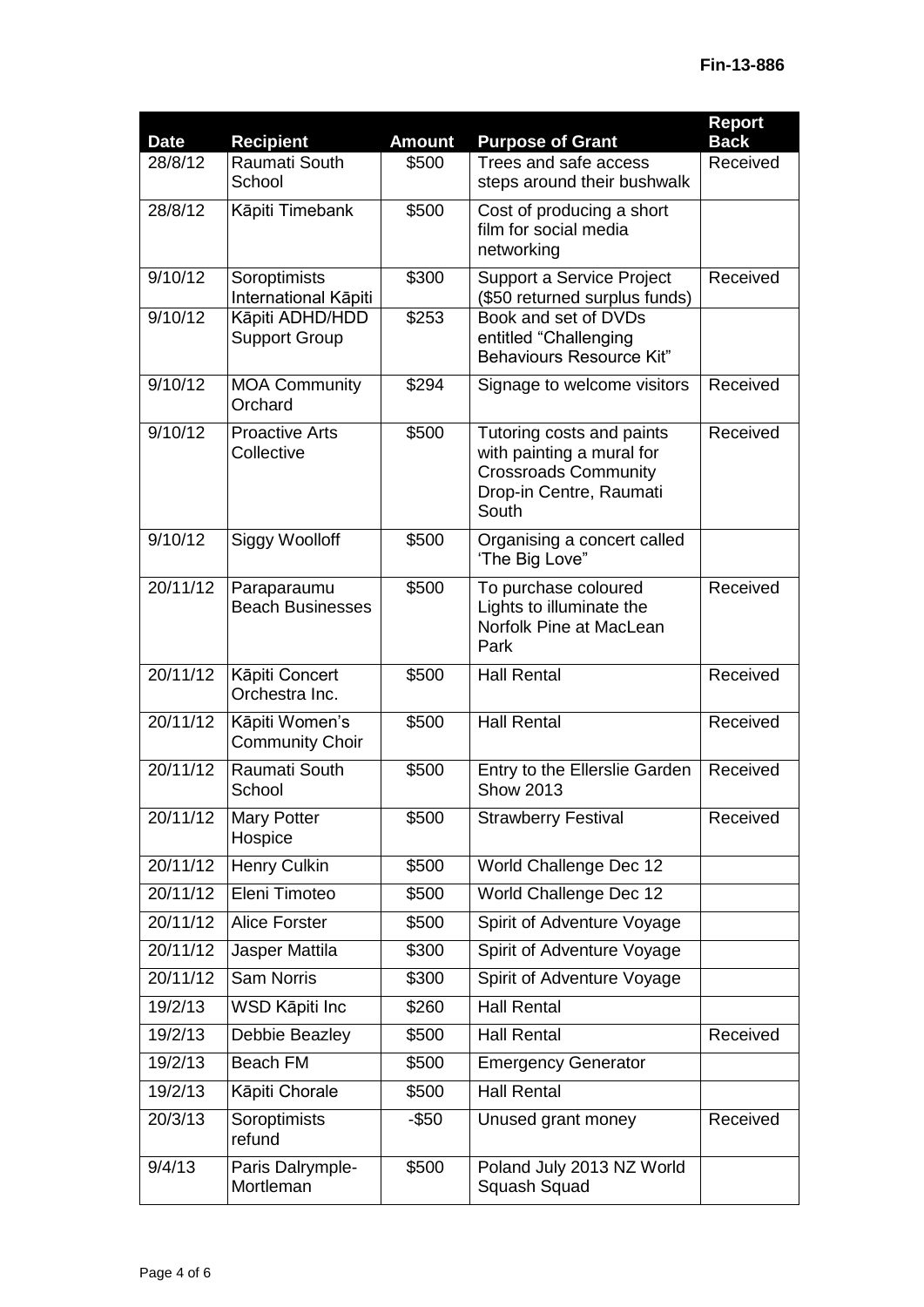| <b>Date</b> | <b>Recipient</b>                         | <b>Amount</b> | <b>Purpose of Grant</b>                                                                                                   | <b>Report</b><br><b>Back</b> |
|-------------|------------------------------------------|---------------|---------------------------------------------------------------------------------------------------------------------------|------------------------------|
| 28/8/12     | Raumati South<br>School                  | \$500         | Trees and safe access<br>steps around their bushwalk                                                                      | Received                     |
| 28/8/12     | Kāpiti Timebank                          | \$500         | Cost of producing a short<br>film for social media<br>networking                                                          |                              |
| 9/10/12     | Soroptimists<br>International Kāpiti     | \$300         | Support a Service Project<br>(\$50 returned surplus funds)                                                                | Received                     |
| 9/10/12     | Kāpiti ADHD/HDD<br><b>Support Group</b>  | \$253         | Book and set of DVDs<br>entitled "Challenging<br><b>Behaviours Resource Kit"</b>                                          |                              |
| 9/10/12     | <b>MOA Community</b><br>Orchard          | \$294         | Signage to welcome visitors                                                                                               | Received                     |
| 9/10/12     | <b>Proactive Arts</b><br>Collective      | \$500         | Tutoring costs and paints<br>with painting a mural for<br><b>Crossroads Community</b><br>Drop-in Centre, Raumati<br>South | Received                     |
| 9/10/12     | <b>Siggy Woolloff</b>                    | \$500         | Organising a concert called<br>'The Big Love"                                                                             |                              |
| 20/11/12    | Paraparaumu<br><b>Beach Businesses</b>   | \$500         | To purchase coloured<br>Lights to illuminate the<br>Norfolk Pine at MacLean<br>Park                                       | Received                     |
| 20/11/12    | Kāpiti Concert<br>Orchestra Inc.         | \$500         | <b>Hall Rental</b>                                                                                                        | Received                     |
| 20/11/12    | Kāpiti Women's<br><b>Community Choir</b> | \$500         | <b>Hall Rental</b>                                                                                                        | Received                     |
| 20/11/12    | Raumati South<br>School                  | \$500         | Entry to the Ellerslie Garden<br><b>Show 2013</b>                                                                         | Received                     |
| 20/11/12    | <b>Mary Potter</b><br>Hospice            | \$500         | <b>Strawberry Festival</b>                                                                                                | Received                     |
| 20/11/12    | Henry Culkin                             | \$500         | World Challenge Dec 12                                                                                                    |                              |
| 20/11/12    | Eleni Timoteo                            | \$500         | World Challenge Dec 12                                                                                                    |                              |
| 20/11/12    | <b>Alice Forster</b>                     | \$500         | Spirit of Adventure Voyage                                                                                                |                              |
| 20/11/12    | Jasper Mattila                           | \$300         | Spirit of Adventure Voyage                                                                                                |                              |
| 20/11/12    | <b>Sam Norris</b>                        | \$300         | Spirit of Adventure Voyage                                                                                                |                              |
| 19/2/13     | WSD Kāpiti Inc                           | \$260         | <b>Hall Rental</b>                                                                                                        |                              |
| 19/2/13     | Debbie Beazley                           | \$500         | <b>Hall Rental</b>                                                                                                        | Received                     |
| 19/2/13     | <b>Beach FM</b>                          | \$500         | <b>Emergency Generator</b>                                                                                                |                              |
| 19/2/13     | Kāpiti Chorale                           | \$500         | <b>Hall Rental</b>                                                                                                        |                              |
| 20/3/13     | Soroptimists<br>refund                   | $-$ \$50      | Unused grant money                                                                                                        | Received                     |
| 9/4/13      | Paris Dalrymple-<br>Mortleman            | \$500         | Poland July 2013 NZ World<br>Squash Squad                                                                                 |                              |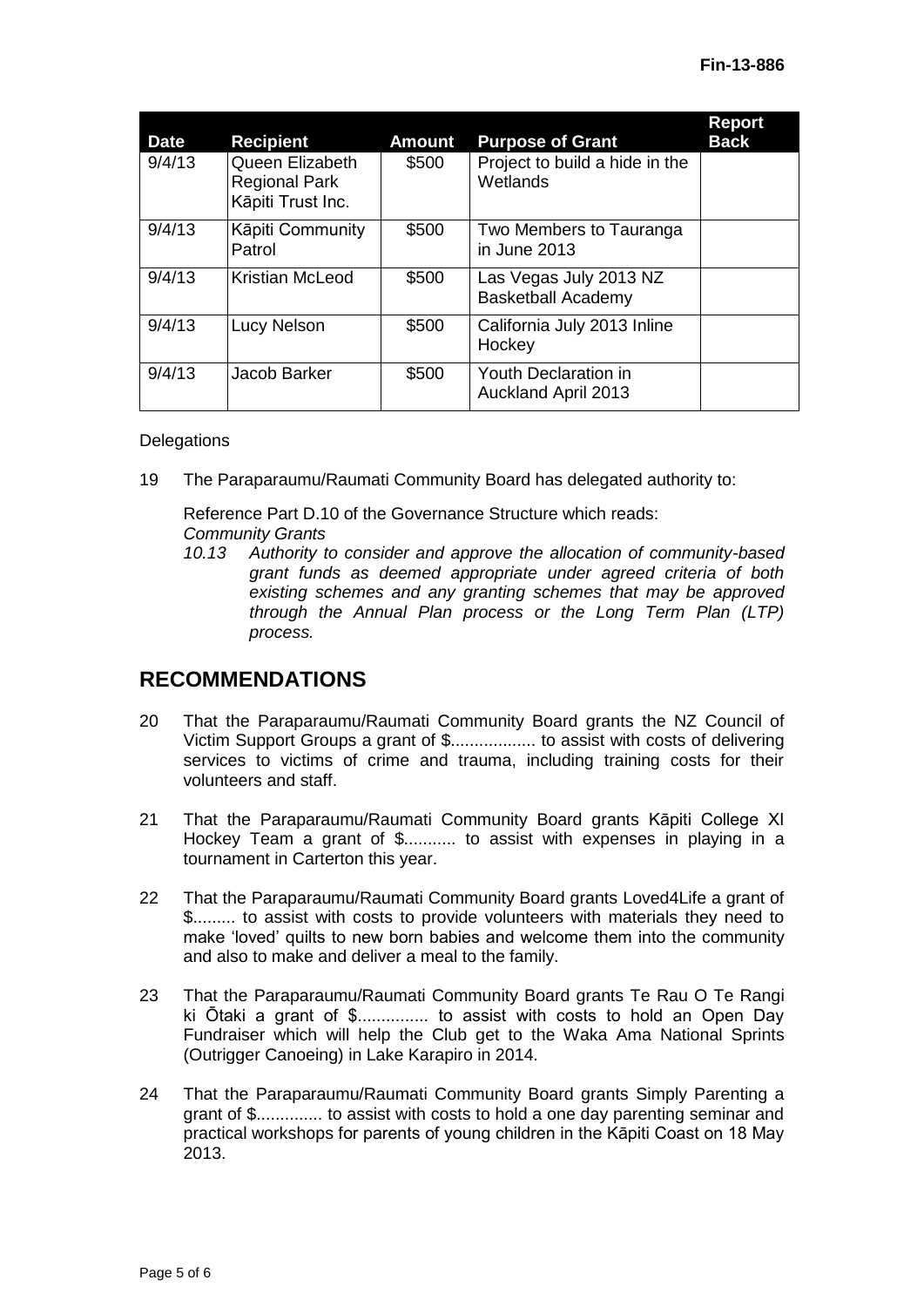| <b>Date</b> | Recipient                                                    | <b>Amount</b> | <b>Purpose of Grant</b>                             | <b>Report</b><br><b>Back</b> |
|-------------|--------------------------------------------------------------|---------------|-----------------------------------------------------|------------------------------|
| 9/4/13      | Queen Elizabeth<br><b>Regional Park</b><br>Kāpiti Trust Inc. | \$500         | Project to build a hide in the<br>Wetlands          |                              |
| 9/4/13      | Kāpiti Community<br>Patrol                                   | \$500         | Two Members to Tauranga<br>in June 2013             |                              |
| 9/4/13      | Kristian McLeod                                              | \$500         | Las Vegas July 2013 NZ<br><b>Basketball Academy</b> |                              |
| 9/4/13      | Lucy Nelson                                                  | \$500         | California July 2013 Inline<br>Hockey               |                              |
| 9/4/13      | Jacob Barker                                                 | \$500         | Youth Declaration in<br><b>Auckland April 2013</b>  |                              |

#### **Delegations**

19 The Paraparaumu/Raumati Community Board has delegated authority to:

Reference Part D.10 of the Governance Structure which reads: *Community Grants*

*10.13 Authority to consider and approve the allocation of community-based grant funds as deemed appropriate under agreed criteria of both existing schemes and any granting schemes that may be approved through the Annual Plan process or the Long Term Plan (LTP) process.*

# **RECOMMENDATIONS**

- 20 That the Paraparaumu/Raumati Community Board grants the NZ Council of Victim Support Groups a grant of \$.................. to assist with costs of delivering services to victims of crime and trauma, including training costs for their volunteers and staff.
- 21 That the Paraparaumu/Raumati Community Board grants Kāpiti College XI Hockey Team a grant of \$........... to assist with expenses in playing in a tournament in Carterton this year.
- 22 That the Paraparaumu/Raumati Community Board grants Loved4Life a grant of \$......... to assist with costs to provide volunteers with materials they need to make 'loved' quilts to new born babies and welcome them into the community and also to make and deliver a meal to the family.
- 23 That the Paraparaumu/Raumati Community Board grants Te Rau O Te Rangi ki Ōtaki a grant of \$............... to assist with costs to hold an Open Day Fundraiser which will help the Club get to the Waka Ama National Sprints (Outrigger Canoeing) in Lake Karapiro in 2014.
- 24 That the Paraparaumu/Raumati Community Board grants Simply Parenting a grant of \$.............. to assist with costs to hold a one day parenting seminar and practical workshops for parents of young children in the Kāpiti Coast on 18 May 2013.